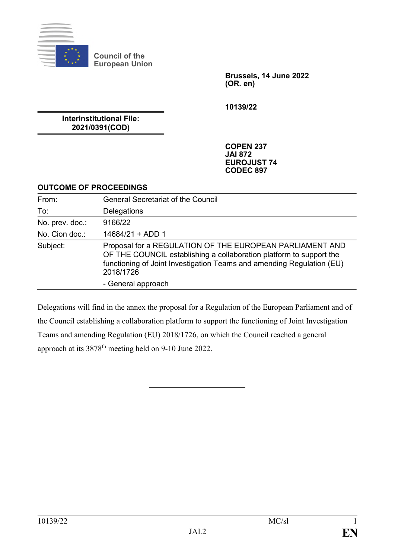

**Council of the European Union**

> **Brussels, 14 June 2022 (OR. en)**

**10139/22**

**Interinstitutional File: 2021/0391(COD)**

> **COPEN 237 JAI 872 EUROJUST 74 CODEC 897**

#### **OUTCOME OF PROCEEDINGS**

| From:           | <b>General Secretariat of the Council</b>                                                                                                                                                                             |
|-----------------|-----------------------------------------------------------------------------------------------------------------------------------------------------------------------------------------------------------------------|
| To:             | Delegations                                                                                                                                                                                                           |
| No. prev. doc.: | 9166/22                                                                                                                                                                                                               |
| No. Cion doc.:  | 14684/21 + ADD 1                                                                                                                                                                                                      |
| Subject:        | Proposal for a REGULATION OF THE EUROPEAN PARLIAMENT AND<br>OF THE COUNCIL establishing a collaboration platform to support the<br>functioning of Joint Investigation Teams and amending Regulation (EU)<br>2018/1726 |
|                 | - General approach                                                                                                                                                                                                    |

Delegations will find in the annex the proposal for a Regulation of the European Parliament and of the Council establishing a collaboration platform to support the functioning of Joint Investigation Teams and amending Regulation (EU) 2018/1726, on which the Council reached a general approach at its 3878th meeting held on 9-10 June 2022.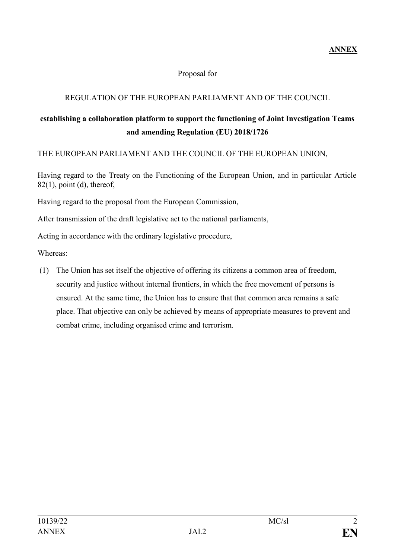**ANNEX**

### Proposal for

# REGULATION OF THE EUROPEAN PARLIAMENT AND OF THE COUNCIL

# **establishing a collaboration platform to support the functioning of Joint Investigation Teams and amending Regulation (EU) 2018/1726**

THE EUROPEAN PARLIAMENT AND THE COUNCIL OF THE EUROPEAN UNION,

Having regard to the Treaty on the Functioning of the European Union, and in particular Article  $82(1)$ , point (d), thereof,

Having regard to the proposal from the European Commission,

After transmission of the draft legislative act to the national parliaments,

Acting in accordance with the ordinary legislative procedure,

Whereas:

(1) The Union has set itself the objective of offering its citizens a common area of freedom, security and justice without internal frontiers, in which the free movement of persons is ensured. At the same time, the Union has to ensure that that common area remains a safe place. That objective can only be achieved by means of appropriate measures to prevent and combat crime, including organised crime and terrorism.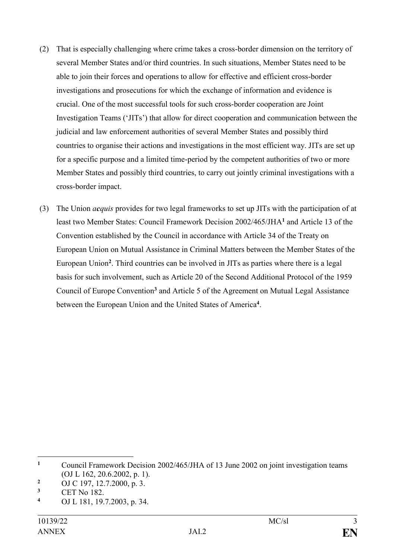- (2) That is especially challenging where crime takes a cross-border dimension on the territory of several Member States and/or third countries. In such situations, Member States need to be able to join their forces and operations to allow for effective and efficient cross-border investigations and prosecutions for which the exchange of information and evidence is crucial. One of the most successful tools for such cross-border cooperation are Joint Investigation Teams ('JITs') that allow for direct cooperation and communication between the judicial and law enforcement authorities of several Member States and possibly third countries to organise their actions and investigations in the most efficient way. JITs are set up for a specific purpose and a limited time-period by the competent authorities of two or more Member States and possibly third countries, to carry out jointly criminal investigations with a cross-border impact.
- (3) The Union *acquis* provides for two legal frameworks to set up JITs with the participation of at least two Member States: Council Framework Decision 2002/465/JHA**<sup>1</sup>** and Article 13 of the Convention established by the Council in accordance with Article 34 of the Treaty on European Union on Mutual Assistance in Criminal Matters between the Member States of the European Union**<sup>2</sup>** . Third countries can be involved in JITs as parties where there is a legal basis for such involvement, such as Article 20 of the Second Additional Protocol of the 1959 Council of Europe Convention**<sup>3</sup>** and Article 5 of the Agreement on Mutual Legal Assistance between the European Union and the United States of America**<sup>4</sup>** .

1

**<sup>1</sup>** Council Framework Decision 2002/465/JHA of 13 June 2002 on joint investigation teams (OJ L 162, 20.6.2002, p. 1).

<sup>&</sup>lt;sup>2</sup> OJ C 197, 12.7.2000, p. 3.<br><sup>3</sup> CET No. 182

**<sup>3</sup>** CET No 182.

**<sup>4</sup>** OJ L 181, 19.7.2003, p. 34.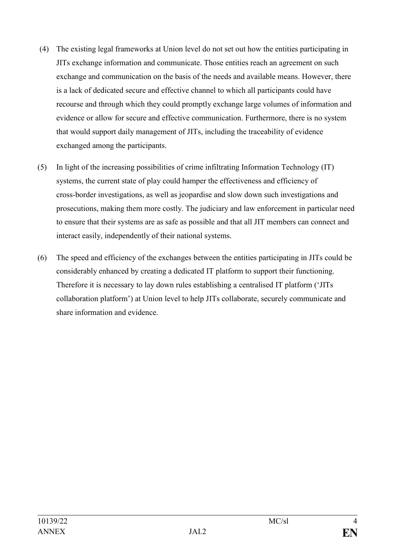- (4) The existing legal frameworks at Union level do not set out how the entities participating in JITs exchange information and communicate. Those entities reach an agreement on such exchange and communication on the basis of the needs and available means. However, there is a lack of dedicated secure and effective channel to which all participants could have recourse and through which they could promptly exchange large volumes of information and evidence or allow for secure and effective communication. Furthermore, there is no system that would support daily management of JITs, including the traceability of evidence exchanged among the participants.
- (5) In light of the increasing possibilities of crime infiltrating Information Technology (IT) systems, the current state of play could hamper the effectiveness and efficiency of cross-border investigations, as well as jeopardise and slow down such investigations and prosecutions, making them more costly. The judiciary and law enforcement in particular need to ensure that their systems are as safe as possible and that all JIT members can connect and interact easily, independently of their national systems.
- (6) The speed and efficiency of the exchanges between the entities participating in JITs could be considerably enhanced by creating a dedicated IT platform to support their functioning. Therefore it is necessary to lay down rules establishing a centralised IT platform ('JITs collaboration platform') at Union level to help JITs collaborate, securely communicate and share information and evidence.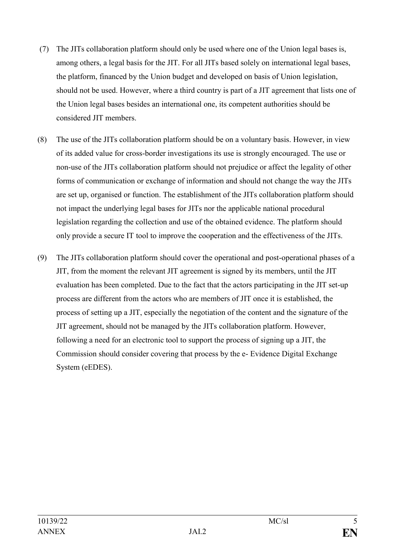- (7) The JITs collaboration platform should only be used where one of the Union legal bases is, among others, a legal basis for the JIT. For all JITs based solely on international legal bases, the platform, financed by the Union budget and developed on basis of Union legislation, should not be used. However, where a third country is part of a JIT agreement that lists one of the Union legal bases besides an international one, its competent authorities should be considered JIT members.
- (8) The use of the JITs collaboration platform should be on a voluntary basis. However, in view of its added value for cross-border investigations its use is strongly encouraged. The use or non-use of the JITs collaboration platform should not prejudice or affect the legality of other forms of communication or exchange of information and should not change the way the JITs are set up, organised or function. The establishment of the JITs collaboration platform should not impact the underlying legal bases for JITs nor the applicable national procedural legislation regarding the collection and use of the obtained evidence. The platform should only provide a secure IT tool to improve the cooperation and the effectiveness of the JITs.
- (9) The JITs collaboration platform should cover the operational and post-operational phases of a JIT, from the moment the relevant JIT agreement is signed by its members, until the JIT evaluation has been completed. Due to the fact that the actors participating in the JIT set-up process are different from the actors who are members of JIT once it is established, the process of setting up a JIT, especially the negotiation of the content and the signature of the JIT agreement, should not be managed by the JITs collaboration platform. However, following a need for an electronic tool to support the process of signing up a JIT, the Commission should consider covering that process by the e- Evidence Digital Exchange System (eEDES).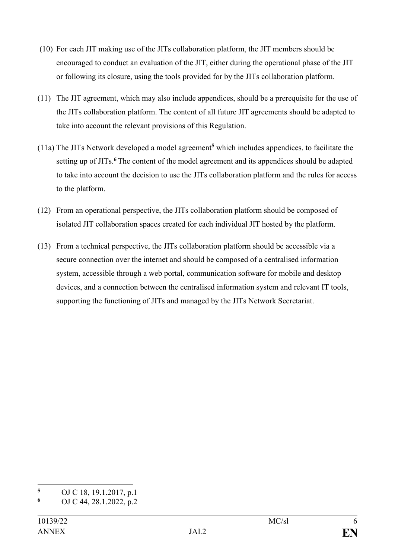- (10) For each JIT making use of the JITs collaboration platform, the JIT members should be encouraged to conduct an evaluation of the JIT, either during the operational phase of the JIT or following its closure, using the tools provided for by the JITs collaboration platform.
- (11) The JIT agreement, which may also include appendices, should be a prerequisite for the use of the JITs collaboration platform. The content of all future JIT agreements should be adapted to take into account the relevant provisions of this Regulation.
- (11a) The JITs Network developed a model agreement**<sup>5</sup>** which includes appendices, to facilitate the setting up of JITs.**<sup>6</sup>** The content of the model agreement and its appendices should be adapted to take into account the decision to use the JITs collaboration platform and the rules for access to the platform.
- (12) From an operational perspective, the JITs collaboration platform should be composed of isolated JIT collaboration spaces created for each individual JIT hosted by the platform.
- (13) From a technical perspective, the JITs collaboration platform should be accessible via a secure connection over the internet and should be composed of a centralised information system, accessible through a web portal, communication software for mobile and desktop devices, and a connection between the centralised information system and relevant IT tools, supporting the functioning of JITs and managed by the JITs Network Secretariat.

<sup>1</sup> **<sup>5</sup>** OJ C 18, 19.1.2017, p.1

**<sup>6</sup>** OJ C 44, 28.1.2022, p.2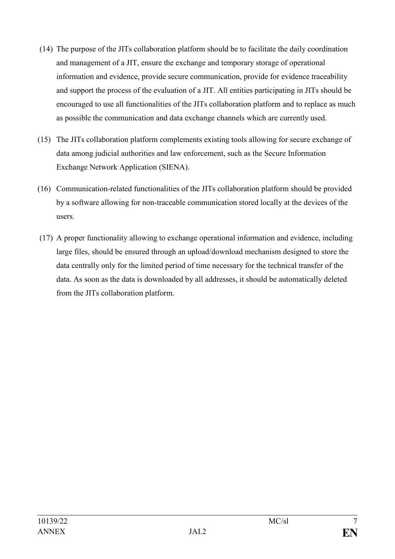- (14) The purpose of the JITs collaboration platform should be to facilitate the daily coordination and management of a JIT, ensure the exchange and temporary storage of operational information and evidence, provide secure communication, provide for evidence traceability and support the process of the evaluation of a JIT. All entities participating in JITs should be encouraged to use all functionalities of the JITs collaboration platform and to replace as much as possible the communication and data exchange channels which are currently used.
- (15) The JITs collaboration platform complements existing tools allowing for secure exchange of data among judicial authorities and law enforcement, such as the Secure Information Exchange Network Application (SIENA).
- (16) Communication-related functionalities of the JITs collaboration platform should be provided by a software allowing for non-traceable communication stored locally at the devices of the users.
- (17) A proper functionality allowing to exchange operational information and evidence, including large files, should be ensured through an upload/download mechanism designed to store the data centrally only for the limited period of time necessary for the technical transfer of the data. As soon as the data is downloaded by all addresses, it should be automatically deleted from the JITs collaboration platform.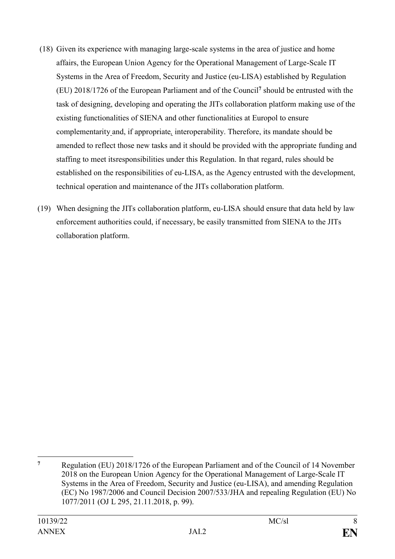- (18) Given its experience with managing large-scale systems in the area of justice and home affairs, the European Union Agency for the Operational Management of Large-Scale IT Systems in the Area of Freedom, Security and Justice (eu-LISA) established by Regulation (EU) 2018/1726 of the European Parliament and of the Council**<sup>7</sup>** should be entrusted with the task of designing, developing and operating the JITs collaboration platform making use of the existing functionalities of SIENA and other functionalities at Europol to ensure complementarity and, if appropriate*,* interoperability. Therefore, its mandate should be amended to reflect those new tasks and it should be provided with the appropriate funding and staffing to meet itsresponsibilities under this Regulation. In that regard, rules should be established on the responsibilities of eu-LISA, as the Agency entrusted with the development, technical operation and maintenance of the JITs collaboration platform.
- (19) When designing the JITs collaboration platform, eu-LISA should ensure that data held by law enforcement authorities could, if necessary, be easily transmitted from SIENA to the JITs collaboration platform.

1

**<sup>7</sup>** Regulation (EU) 2018/1726 of the European Parliament and of the Council of 14 November 2018 on the European Union Agency for the Operational Management of Large-Scale IT Systems in the Area of Freedom, Security and Justice (eu-LISA), and amending Regulation (EC) No 1987/2006 and Council Decision 2007/533/JHA and repealing Regulation (EU) No 1077/2011 (OJ L 295, 21.11.2018, p. 99).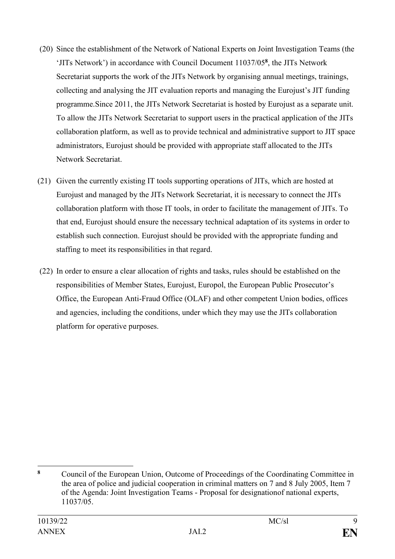- (20) Since the establishment of the Network of National Experts on Joint Investigation Teams (the 'JITs Network') in accordance with Council Document 11037/05**<sup>8</sup>** , the JITs Network Secretariat supports the work of the JITs Network by organising annual meetings, trainings, collecting and analysing the JIT evaluation reports and managing the Eurojust's JIT funding programme.Since 2011, the JITs Network Secretariat is hosted by Eurojust as a separate unit. To allow the JITs Network Secretariat to support users in the practical application of the JITs collaboration platform, as well as to provide technical and administrative support to JIT space administrators, Eurojust should be provided with appropriate staff allocated to the JITs Network Secretariat.
- (21) Given the currently existing IT tools supporting operations of JITs, which are hosted at Eurojust and managed by the JITs Network Secretariat, it is necessary to connect the JITs collaboration platform with those IT tools, in order to facilitate the management of JITs. To that end, Eurojust should ensure the necessary technical adaptation of its systems in order to establish such connection. Eurojust should be provided with the appropriate funding and staffing to meet its responsibilities in that regard.
- (22) In order to ensure a clear allocation of rights and tasks, rules should be established on the responsibilities of Member States, Eurojust, Europol, the European Public Prosecutor's Office, the European Anti-Fraud Office (OLAF) and other competent Union bodies, offices and agencies, including the conditions, under which they may use the JITs collaboration platform for operative purposes.

<sup>1</sup> **<sup>8</sup>** Council of the European Union, Outcome of Proceedings of the Coordinating Committee in the area of police and judicial cooperation in criminal matters on 7 and 8 July 2005, Item 7 of the Agenda: Joint Investigation Teams - Proposal for designationof national experts, 11037/05.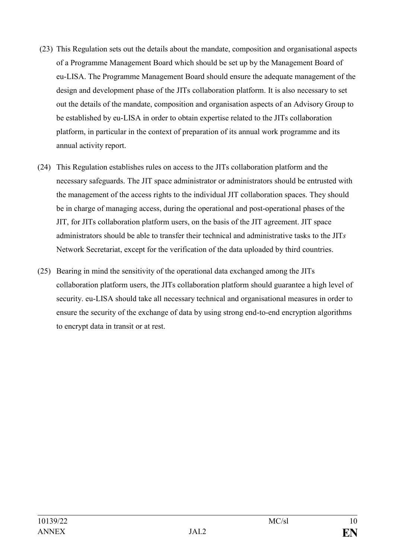- (23) This Regulation sets out the details about the mandate, composition and organisational aspects of a Programme Management Board which should be set up by the Management Board of eu-LISA. The Programme Management Board should ensure the adequate management of the design and development phase of the JITs collaboration platform. It is also necessary to set out the details of the mandate, composition and organisation aspects of an Advisory Group to be established by eu-LISA in order to obtain expertise related to the JITs collaboration platform, in particular in the context of preparation of its annual work programme and its annual activity report.
- (24) This Regulation establishes rules on access to the JITs collaboration platform and the necessary safeguards. The JIT space administrator or administrators should be entrusted with the management of the access rights to the individual JIT collaboration spaces. They should be in charge of managing access, during the operational and post-operational phases of the JIT, for JITs collaboration platform users, on the basis of the JIT agreement. JIT space administrators should be able to transfer their technical and administrative tasks to the JIT*s*  Network Secretariat, except for the verification of the data uploaded by third countries.
- (25) Bearing in mind the sensitivity of the operational data exchanged among the JITs collaboration platform users, the JITs collaboration platform should guarantee a high level of security. eu-LISA should take all necessary technical and organisational measures in order to ensure the security of the exchange of data by using strong end-to-end encryption algorithms to encrypt data in transit or at rest.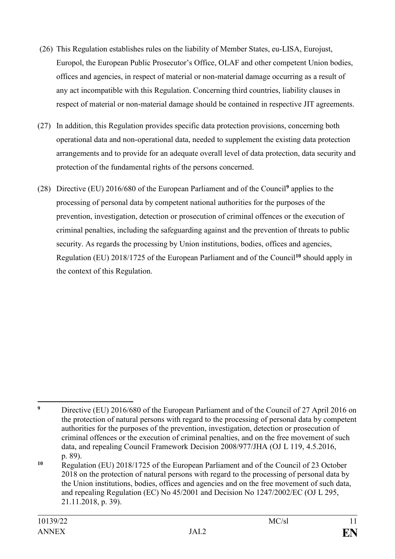- (26) This Regulation establishes rules on the liability of Member States, eu-LISA, Eurojust, Europol, the European Public Prosecutor's Office, OLAF and other competent Union bodies, offices and agencies, in respect of material or non-material damage occurring as a result of any act incompatible with this Regulation. Concerning third countries, liability clauses in respect of material or non-material damage should be contained in respective JIT agreements.
- (27) In addition, this Regulation provides specific data protection provisions, concerning both operational data and non-operational data, needed to supplement the existing data protection arrangements and to provide for an adequate overall level of data protection, data security and protection of the fundamental rights of the persons concerned.
- (28) Directive (EU) 2016/680 of the European Parliament and of the Council**<sup>9</sup>** applies to the processing of personal data by competent national authorities for the purposes of the prevention, investigation, detection or prosecution of criminal offences or the execution of criminal penalties, including the safeguarding against and the prevention of threats to public security. As regards the processing by Union institutions, bodies, offices and agencies, Regulation (EU) 2018/1725 of the European Parliament and of the Council**<sup>10</sup>** should apply in the context of this Regulation.

<sup>1</sup> <sup>9</sup> Directive (EU) 2016/680 of the European Parliament and of the Council of 27 April 2016 on the protection of natural persons with regard to the processing of personal data by competent authorities for the purposes of the prevention, investigation, detection or prosecution of criminal offences or the execution of criminal penalties, and on the free movement of such data, and repealing Council Framework Decision 2008/977/JHA (OJ L 119, 4.5.2016, p. 89).

**<sup>10</sup>** Regulation (EU) 2018/1725 of the European Parliament and of the Council of 23 October 2018 on the protection of natural persons with regard to the processing of personal data by the Union institutions, bodies, offices and agencies and on the free movement of such data, and repealing Regulation (EC) No 45/2001 and Decision No 1247/2002/EC (OJ L 295, 21.11.2018, p. 39).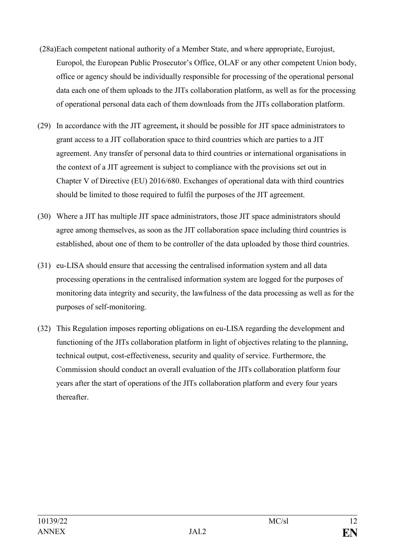- (28a)Each competent national authority of a Member State, and where appropriate, Eurojust, Europol, the European Public Prosecutor's Office, OLAF or any other competent Union body, office or agency should be individually responsible for processing of the operational personal data each one of them uploads to the JITs collaboration platform, as well as for the processing of operational personal data each of them downloads from the JITs collaboration platform.
- (29) In accordance with the JIT agreement**,** it should be possible for JIT space administrators to grant access to a JIT collaboration space to third countries which are parties to a JIT agreement. Any transfer of personal data to third countries or international organisations in the context of a JIT agreement is subject to compliance with the provisions set out in Chapter V of Directive (EU) 2016/680. Exchanges of operational data with third countries should be limited to those required to fulfil the purposes of the JIT agreement.
- (30) Where a JIT has multiple JIT space administrators, those JIT space administrators should agree among themselves, as soon as the JIT collaboration space including third countries is established, about one of them to be controller of the data uploaded by those third countries.
- (31) eu-LISA should ensure that accessing the centralised information system and all data processing operations in the centralised information system are logged for the purposes of monitoring data integrity and security, the lawfulness of the data processing as well as for the purposes of self-monitoring.
- (32) This Regulation imposes reporting obligations on eu-LISA regarding the development and functioning of the JITs collaboration platform in light of objectives relating to the planning, technical output, cost-effectiveness, security and quality of service. Furthermore, the Commission should conduct an overall evaluation of the JITs collaboration platform four years after the start of operations of the JITs collaboration platform and every four years thereafter.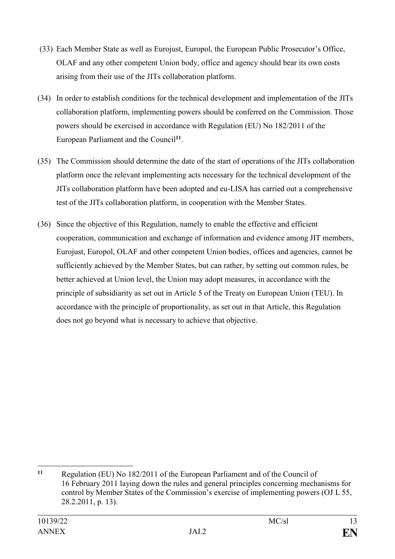- (33) Each Member State as well as Eurojust, Europol, the European Public Prosecutor's Office, OLAF and any other competent Union body, office and agency should bear its own costs arising from their use of the JITs collaboration platform.
- (34) In order to establish conditions for the technical development and implementation of the JITs collaboration platform, implementing powers should be conferred on the Commission. Those powers should be exercised in accordance with Regulation (EU) No 182/2011 of the European Parliament and the Council**<sup>11</sup>** .
- (35) The Commission should determine the date of the start of operations of the JITs collaboration platform once the relevant implementing acts necessary for the technical development of the JITs collaboration platform have been adopted and eu-LISA has carried out a comprehensive test of the JITs collaboration platform, in cooperation with the Member States.
- (36) Since the objective of this Regulation, namely to enable the effective and efficient cooperation, communication and exchange of information and evidence among JIT members, Eurojust, Europol, OLAF and other competent Union bodies, offices and agencies, cannot be sufficiently achieved by the Member States, but can rather, by setting out common rules, be better achieved at Union level, the Union may adopt measures, in accordance with the principle of subsidiarity as set out in Article 5 of the Treaty on European Union (TEU). In accordance with the principle of proportionality, as set out in that Article, this Regulation does not go beyond what is necessary to achieve that objective.

<sup>1</sup> **<sup>11</sup>** Regulation (EU) No 182/2011 of the European Parliament and of the Council of 16 February 2011 laying down the rules and general principles concerning mechanisms for control by Member States of the Commission's exercise of implementing powers (OJ L 55, 28.2.2011, p. 13).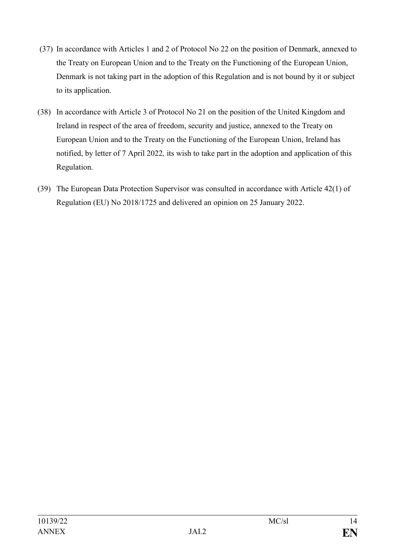- (37) In accordance with Articles 1 and 2 of Protocol No 22 on the position of Denmark, annexed to the Treaty on European Union and to the Treaty on the Functioning of the European Union, Denmark is not taking part in the adoption of this Regulation and is not bound by it or subject to its application.
- (38) In accordance with Article 3 of Protocol No 21 on the position of the United Kingdom and Ireland in respect of the area of freedom, security and justice, annexed to the Treaty on European Union and to the Treaty on the Functioning of the European Union, Ireland has notified, by letter of 7 April 2022*,* its wish to take part in the adoption and application of this Regulation.
- (39) The European Data Protection Supervisor was consulted in accordance with Article 42(1) of Regulation (EU) No 2018/1725 and delivered an opinion on 25 January 2022.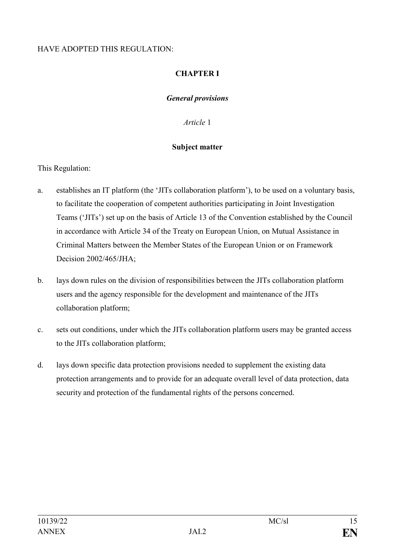### HAVE ADOPTED THIS REGULATION:

### **CHAPTER I**

### *General provisions*

*Article* 1

### **Subject matter**

This Regulation:

- a. establishes an IT platform (the 'JITs collaboration platform'), to be used on a voluntary basis, to facilitate the cooperation of competent authorities participating in Joint Investigation Teams ('JITs') set up on the basis of Article 13 of the Convention established by the Council in accordance with Article 34 of the Treaty on European Union, on Mutual Assistance in Criminal Matters between the Member States of the European Union or on Framework Decision 2002/465/JHA;
- b. lays down rules on the division of responsibilities between the JITs collaboration platform users and the agency responsible for the development and maintenance of the JITs collaboration platform;
- c. sets out conditions, under which the JITs collaboration platform users may be granted access to the JITs collaboration platform;
- d. lays down specific data protection provisions needed to supplement the existing data protection arrangements and to provide for an adequate overall level of data protection, data security and protection of the fundamental rights of the persons concerned.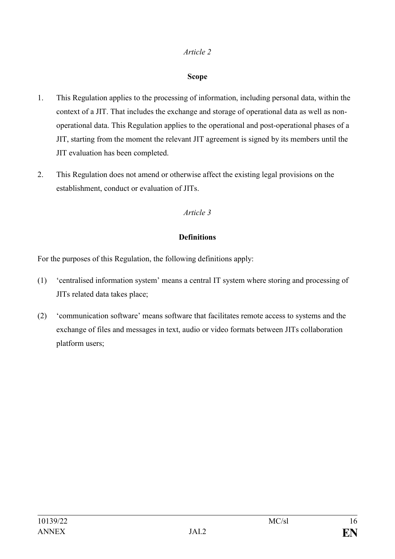### **Scope**

- 1. This Regulation applies to the processing of information, including personal data, within the context of a JIT. That includes the exchange and storage of operational data as well as nonoperational data. This Regulation applies to the operational and post-operational phases of a JIT, starting from the moment the relevant JIT agreement is signed by its members until the JIT evaluation has been completed.
- 2. This Regulation does not amend or otherwise affect the existing legal provisions on the establishment, conduct or evaluation of JITs.

### *Article 3*

### **Definitions**

For the purposes of this Regulation, the following definitions apply:

- (1) 'centralised information system' means a central IT system where storing and processing of JITs related data takes place;
- (2) 'communication software' means software that facilitates remote access to systems and the exchange of files and messages in text, audio or video formats between JITs collaboration platform users;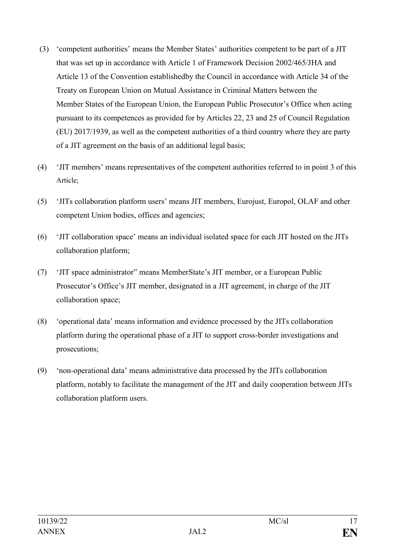- (3) 'competent authorities' means the Member States' authorities competent to be part of a JIT that was set up in accordance with Article 1 of Framework Decision 2002/465/JHA and Article 13 of the Convention establishedby the Council in accordance with Article 34 of the Treaty on European Union on Mutual Assistance in Criminal Matters between the Member States of the European Union, the European Public Prosecutor's Office when acting pursuant to its competences as provided for by Articles 22, 23 and 25 of Council Regulation (EU) 2017/1939, as well as the competent authorities of a third country where they are party of a JIT agreement on the basis of an additional legal basis;
- (4) 'JIT members' means representatives of the competent authorities referred to in point 3 of this Article;
- (5) 'JITs collaboration platform users' means JIT members, Eurojust, Europol, OLAF and other competent Union bodies, offices and agencies;
- (6) 'JIT collaboration space' means an individual isolated space for each JIT hosted on the JITs collaboration platform;
- (7) 'JIT space administrator" means MemberState's JIT member, or a European Public Prosecutor's Office's JIT member, designated in a JIT agreement, in charge of the JIT collaboration space;
- (8) 'operational data' means information and evidence processed by the JITs collaboration platform during the operational phase of a JIT to support cross-border investigations and prosecutions;
- (9) 'non-operational data' means administrative data processed by the JITs collaboration platform, notably to facilitate the management of the JIT and daily cooperation between JITs collaboration platform users.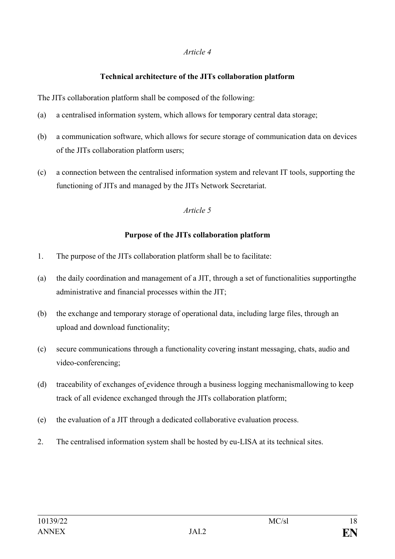### **Technical architecture of the JITs collaboration platform**

The JITs collaboration platform shall be composed of the following:

- (a) a centralised information system, which allows for temporary central data storage;
- (b) a communication software, which allows for secure storage of communication data on devices of the JITs collaboration platform users;
- (c) a connection between the centralised information system and relevant IT tools, supporting the functioning of JITs and managed by the JITs Network Secretariat.

### *Article 5*

### **Purpose of the JITs collaboration platform**

- 1. The purpose of the JITs collaboration platform shall be to facilitate:
- (a) the daily coordination and management of a JIT, through a set of functionalities supportingthe administrative and financial processes within the JIT;
- (b) the exchange and temporary storage of operational data, including large files, through an upload and download functionality;
- (c) secure communications through a functionality covering instant messaging, chats, audio and video-conferencing;
- (d) traceability of exchanges of evidence through a business logging mechanismallowing to keep track of all evidence exchanged through the JITs collaboration platform;
- (e) the evaluation of a JIT through a dedicated collaborative evaluation process.
- 2. The centralised information system shall be hosted by eu-LISA at its technical sites.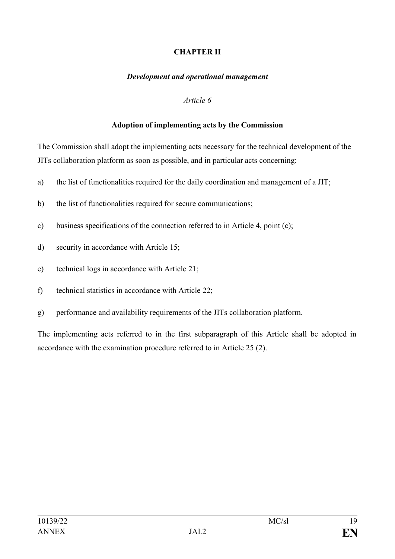### **CHAPTER II**

#### *Development and operational management*

#### *Article 6*

#### **Adoption of implementing acts by the Commission**

The Commission shall adopt the implementing acts necessary for the technical development of the JITs collaboration platform as soon as possible, and in particular acts concerning:

- a) the list of functionalities required for the daily coordination and management of a JIT;
- b) the list of functionalities required for secure communications;
- c) business specifications of the connection referred to in Article 4, point (c);
- d) security in accordance with Article 15;
- e) technical logs in accordance with Article 21;
- f) technical statistics in accordance with Article 22;
- g) performance and availability requirements of the JITs collaboration platform.

The implementing acts referred to in the first subparagraph of this Article shall be adopted in accordance with the examination procedure referred to in Article 25 (2).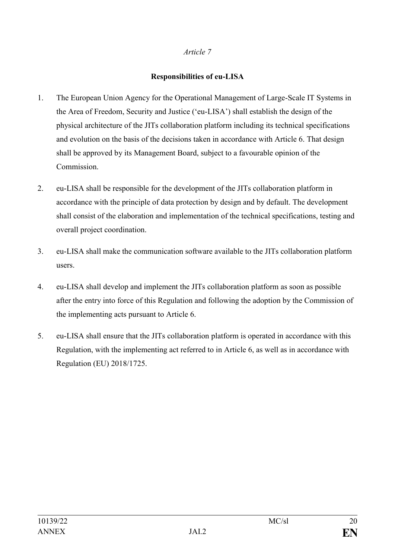### **Responsibilities of eu-LISA**

- 1. The European Union Agency for the Operational Management of Large-Scale IT Systems in the Area of Freedom, Security and Justice ('eu-LISA') shall establish the design of the physical architecture of the JITs collaboration platform including its technical specifications and evolution on the basis of the decisions taken in accordance with Article 6. That design shall be approved by its Management Board, subject to a favourable opinion of the Commission.
- 2. eu-LISA shall be responsible for the development of the JITs collaboration platform in accordance with the principle of data protection by design and by default. The development shall consist of the elaboration and implementation of the technical specifications, testing and overall project coordination.
- 3. eu-LISA shall make the communication software available to the JITs collaboration platform users.
- 4. eu-LISA shall develop and implement the JITs collaboration platform as soon as possible after the entry into force of this Regulation and following the adoption by the Commission of the implementing acts pursuant to Article 6.
- 5. eu-LISA shall ensure that the JITs collaboration platform is operated in accordance with this Regulation, with the implementing act referred to in Article 6, as well as in accordance with Regulation (EU) 2018/1725.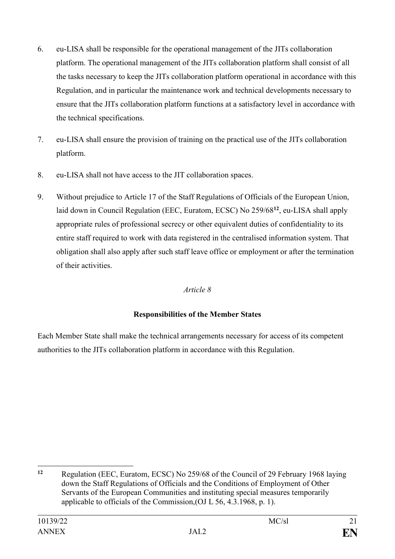- 6. eu-LISA shall be responsible for the operational management of the JITs collaboration platform. The operational management of the JITs collaboration platform shall consist of all the tasks necessary to keep the JITs collaboration platform operational in accordance with this Regulation, and in particular the maintenance work and technical developments necessary to ensure that the JITs collaboration platform functions at a satisfactory level in accordance with the technical specifications.
- 7. eu-LISA shall ensure the provision of training on the practical use of the JITs collaboration platform.
- 8. eu-LISA shall not have access to the JIT collaboration spaces.
- 9. Without prejudice to Article 17 of the Staff Regulations of Officials of the European Union, laid down in Council Regulation (EEC, Euratom, ECSC) No 259/68**<sup>12</sup>**, eu-LISA shall apply appropriate rules of professional secrecy or other equivalent duties of confidentiality to its entire staff required to work with data registered in the centralised information system. That obligation shall also apply after such staff leave office or employment or after the termination of their activities.

# **Responsibilities of the Member States**

Each Member State shall make the technical arrangements necessary for access of its competent authorities to the JITs collaboration platform in accordance with this Regulation.

<sup>1</sup> **<sup>12</sup>** Regulation (EEC, Euratom, ECSC) No 259/68 of the Council of 29 February 1968 laying down the Staff Regulations of Officials and the Conditions of Employment of Other Servants of the European Communities and instituting special measures temporarily applicable to officials of the Commission,(OJ L 56, 4.3.1968, p. 1).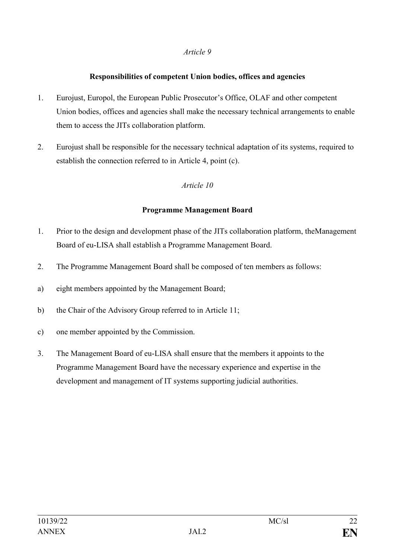### **Responsibilities of competent Union bodies, offices and agencies**

- 1. Eurojust, Europol, the European Public Prosecutor's Office, OLAF and other competent Union bodies, offices and agencies shall make the necessary technical arrangements to enable them to access the JITs collaboration platform.
- 2. Eurojust shall be responsible for the necessary technical adaptation of its systems, required to establish the connection referred to in Article 4, point (c).

### *Article 10*

#### **Programme Management Board**

- 1. Prior to the design and development phase of the JITs collaboration platform, theManagement Board of eu-LISA shall establish a Programme Management Board.
- 2. The Programme Management Board shall be composed of ten members as follows:
- a) eight members appointed by the Management Board;
- b) the Chair of the Advisory Group referred to in Article 11;
- c) one member appointed by the Commission.
- 3. The Management Board of eu-LISA shall ensure that the members it appoints to the Programme Management Board have the necessary experience and expertise in the development and management of IT systems supporting judicial authorities.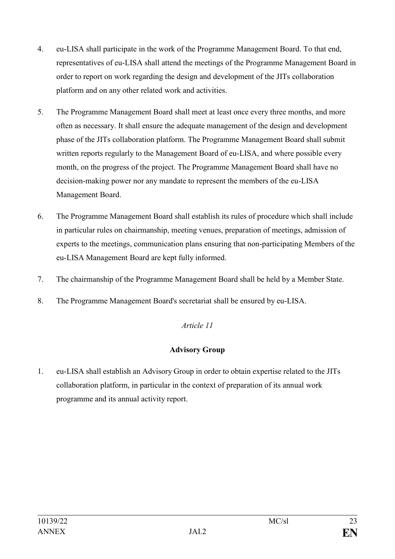- 4. eu-LISA shall participate in the work of the Programme Management Board. To that end, representatives of eu-LISA shall attend the meetings of the Programme Management Board in order to report on work regarding the design and development of the JITs collaboration platform and on any other related work and activities.
- 5. The Programme Management Board shall meet at least once every three months, and more often as necessary. It shall ensure the adequate management of the design and development phase of the JITs collaboration platform. The Programme Management Board shall submit written reports regularly to the Management Board of eu-LISA, and where possible every month, on the progress of the project. The Programme Management Board shall have no decision-making power nor any mandate to represent the members of the eu-LISA Management Board.
- 6. The Programme Management Board shall establish its rules of procedure which shall include in particular rules on chairmanship, meeting venues, preparation of meetings, admission of experts to the meetings, communication plans ensuring that non-participating Members of the eu-LISA Management Board are kept fully informed.
- 7. The chairmanship of the Programme Management Board shall be held by a Member State.
- 8. The Programme Management Board's secretariat shall be ensured by eu-LISA.

# **Advisory Group**

1. eu-LISA shall establish an Advisory Group in order to obtain expertise related to the JITs collaboration platform, in particular in the context of preparation of its annual work programme and its annual activity report.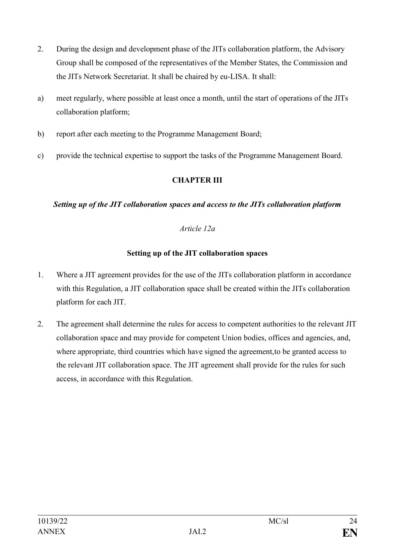- 2. During the design and development phase of the JITs collaboration platform, the Advisory Group shall be composed of the representatives of the Member States, the Commission and the JITs Network Secretariat. It shall be chaired by eu-LISA. It shall:
- a) meet regularly, where possible at least once a month, until the start of operations of the JITs collaboration platform;
- b) report after each meeting to the Programme Management Board;
- c) provide the technical expertise to support the tasks of the Programme Management Board.

### **CHAPTER III**

#### *Setting up of the JIT collaboration spaces and access to the JITs collaboration platform*

### *Article 12a*

### **Setting up of the JIT collaboration spaces**

- 1. Where a JIT agreement provides for the use of the JITs collaboration platform in accordance with this Regulation, a JIT collaboration space shall be created within the JITs collaboration platform for each JIT.
- 2. The agreement shall determine the rules for access to competent authorities to the relevant JIT collaboration space and may provide for competent Union bodies, offices and agencies, and, where appropriate, third countries which have signed the agreement, to be granted access to the relevant JIT collaboration space. The JIT agreement shall provide for the rules for such access, in accordance with this Regulation.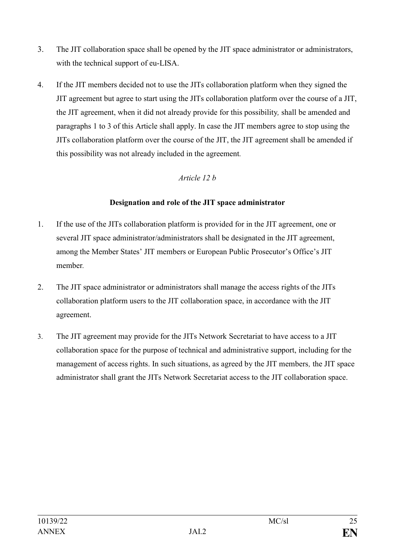- 3. The JIT collaboration space shall be opened by the JIT space administrator or administrators, with the technical support of eu-LISA.
- 4. If the JIT members decided not to use the JITs collaboration platform when they signed the JIT agreement but agree to start using the JITs collaboration platform over the course of a JIT, the JIT agreement, when it did not already provide for this possibility*,* shall be amended and paragraphs 1 to 3 of this Article shall apply. In case the JIT members agree to stop using the JITs collaboration platform over the course of the JIT, the JIT agreement shall be amended if this possibility was not already included in the agreement*.*

### *Article 12 b*

### **Designation and role of the JIT space administrator**

- 1. If the use of the JITs collaboration platform is provided for in the JIT agreement, one or several JIT space administrator/administrators shall be designated in the JIT agreement, among the Member States' JIT members or European Public Prosecutor's Office's JIT member*.*
- 2. The JIT space administrator or administrators shall manage the access rights of the JITs collaboration platform users to the JIT collaboration space, in accordance with the JIT agreement.
- 3. The JIT agreement may provide for the JITs Network Secretariat to have access to a JIT collaboration space for the purpose of technical and administrative support, including for the management of access rights. In such situations, as agreed by the JIT members*,* the JIT space administrator shall grant the JITs Network Secretariat access to the JIT collaboration space.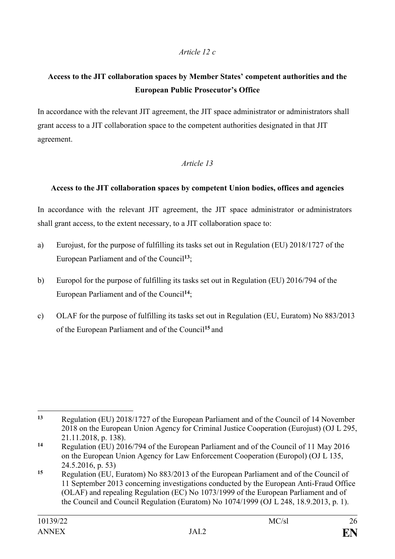### *Article 12 c*

# **Access to the JIT collaboration spaces by Member States' competent authorities and the European Public Prosecutor's Office**

In accordance with the relevant JIT agreement, the JIT space administrator or administrators shall grant access to a JIT collaboration space to the competent authorities designated in that JIT agreement.

### *Article 13*

### **Access to the JIT collaboration spaces by competent Union bodies, offices and agencies**

In accordance with the relevant JIT agreement, the JIT space administrator or administrators shall grant access, to the extent necessary, to a JIT collaboration space to:

- a) Eurojust, for the purpose of fulfilling its tasks set out in Regulation (EU) 2018/1727 of the European Parliament and of the Council**<sup>13</sup>**;
- b) Europol for the purpose of fulfilling its tasks set out in Regulation (EU) 2016/794 of the European Parliament and of the Council**<sup>14</sup>**;
- c) OLAF for the purpose of fulfilling its tasks set out in Regulation (EU, Euratom) No 883/2013 of the European Parliament and of the Council**<sup>15</sup>** and

 $13$ **<sup>13</sup>** Regulation (EU) 2018/1727 of the European Parliament and of the Council of 14 November 2018 on the European Union Agency for Criminal Justice Cooperation (Eurojust) (OJ L 295, 21.11.2018, p. 138).

**<sup>14</sup>** Regulation (EU) 2016/794 of the European Parliament and of the Council of 11 May 2016 on the European Union Agency for Law Enforcement Cooperation (Europol) (OJ L 135, 24.5.2016, p. 53)

**<sup>15</sup>** Regulation (EU, Euratom) No 883/2013 of the European Parliament and of the Council of 11 September 2013 concerning investigations conducted by the European Anti-Fraud Office (OLAF) and repealing Regulation (EC) No 1073/1999 of the European Parliament and of the Council and Council Regulation (Euratom) No 1074/1999 (OJ L 248, 18.9.2013, p. 1).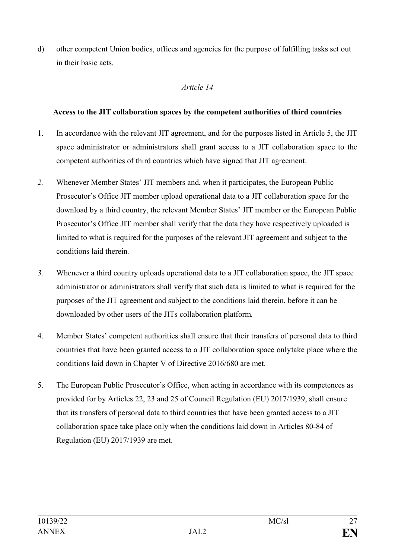d) other competent Union bodies, offices and agencies for the purpose of fulfilling tasks set out in their basic acts.

### *Article 14*

### **Access to the JIT collaboration spaces by the competent authorities of third countries**

- 1. In accordance with the relevant JIT agreement, and for the purposes listed in Article 5, the JIT space administrator or administrators shall grant access to a JIT collaboration space to the competent authorities of third countries which have signed that JIT agreement.
- *2.* Whenever Member States' JIT members and, when it participates, the European Public Prosecutor's Office JIT member upload operational data to a JIT collaboration space for the download by a third country, the relevant Member States' JIT member or the European Public Prosecutor's Office JIT member shall verify that the data they have respectively uploaded is limited to what is required for the purposes of the relevant JIT agreement and subject to the conditions laid therein*.*
- *3.* Whenever a third country uploads operational data to a JIT collaboration space, the JIT space administrator or administrators shall verify that such data is limited to what is required for the purposes of the JIT agreement and subject to the conditions laid therein, before it can be downloaded by other users of the JITs collaboration platform*.*
- 4. Member States' competent authorities shall ensure that their transfers of personal data to third countries that have been granted access to a JIT collaboration space onlytake place where the conditions laid down in Chapter V of Directive 2016/680 are met.
- 5. The European Public Prosecutor's Office, when acting in accordance with its competences as provided for by Articles 22, 23 and 25 of Council Regulation (EU) 2017/1939, shall ensure that its transfers of personal data to third countries that have been granted access to a JIT collaboration space take place only when the conditions laid down in Articles 80-84 of Regulation (EU) 2017/1939 are met.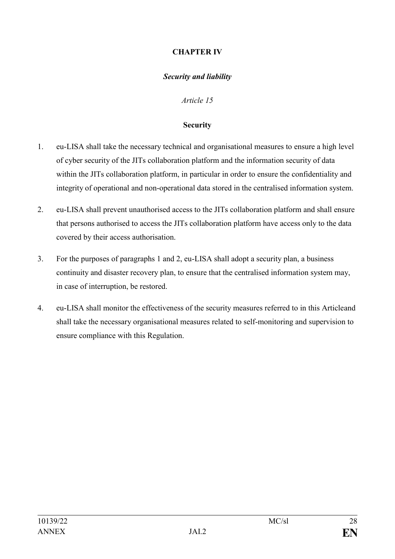### **CHAPTER IV**

### *Security and liability*

*Article 15*

#### **Security**

- 1. eu-LISA shall take the necessary technical and organisational measures to ensure a high level of cyber security of the JITs collaboration platform and the information security of data within the JITs collaboration platform, in particular in order to ensure the confidentiality and integrity of operational and non-operational data stored in the centralised information system.
- 2. eu-LISA shall prevent unauthorised access to the JITs collaboration platform and shall ensure that persons authorised to access the JITs collaboration platform have access only to the data covered by their access authorisation.
- 3. For the purposes of paragraphs 1 and 2, eu-LISA shall adopt a security plan, a business continuity and disaster recovery plan, to ensure that the centralised information system may, in case of interruption, be restored.
- 4. eu-LISA shall monitor the effectiveness of the security measures referred to in this Articleand shall take the necessary organisational measures related to self-monitoring and supervision to ensure compliance with this Regulation.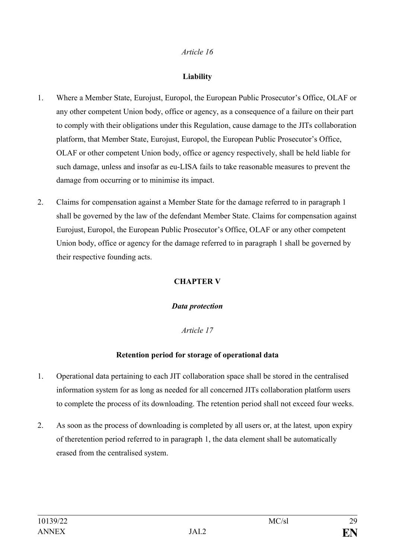### **Liability**

- 1. Where a Member State, Eurojust, Europol, the European Public Prosecutor's Office, OLAF or any other competent Union body, office or agency, as a consequence of a failure on their part to comply with their obligations under this Regulation, cause damage to the JITs collaboration platform, that Member State, Eurojust, Europol, the European Public Prosecutor's Office, OLAF or other competent Union body, office or agency respectively, shall be held liable for such damage, unless and insofar as eu-LISA fails to take reasonable measures to prevent the damage from occurring or to minimise its impact.
- 2. Claims for compensation against a Member State for the damage referred to in paragraph 1 shall be governed by the law of the defendant Member State. Claims for compensation against Eurojust, Europol, the European Public Prosecutor's Office, OLAF or any other competent Union body, office or agency for the damage referred to in paragraph 1 shall be governed by their respective founding acts.

# **CHAPTER V**

#### *Data protection*

### *Article 17*

### **Retention period for storage of operational data**

- 1. Operational data pertaining to each JIT collaboration space shall be stored in the centralised information system for as long as needed for all concerned JITs collaboration platform users to complete the process of its downloading. The retention period shall not exceed four weeks.
- 2. As soon as the process of downloading is completed by all users or, at the latest*,* upon expiry of theretention period referred to in paragraph 1, the data element shall be automatically erased from the centralised system.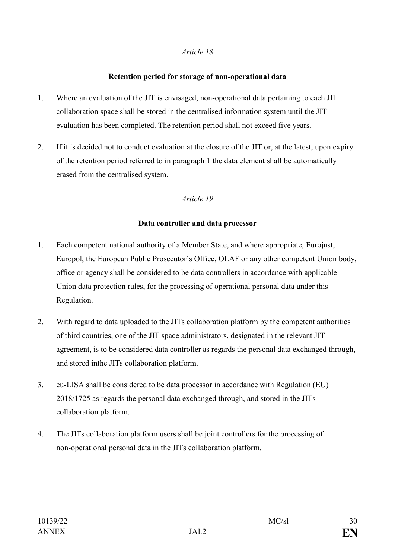#### **Retention period for storage of non-operational data**

- 1. Where an evaluation of the JIT is envisaged, non-operational data pertaining to each JIT collaboration space shall be stored in the centralised information system until the JIT evaluation has been completed. The retention period shall not exceed five years.
- 2. If it is decided not to conduct evaluation at the closure of the JIT or, at the latest, upon expiry of the retention period referred to in paragraph 1 the data element shall be automatically erased from the centralised system.

### *Article 19*

### **Data controller and data processor**

- 1. Each competent national authority of a Member State, and where appropriate, Eurojust, Europol, the European Public Prosecutor's Office, OLAF or any other competent Union body, office or agency shall be considered to be data controllers in accordance with applicable Union data protection rules, for the processing of operational personal data under this Regulation.
- 2. With regard to data uploaded to the JITs collaboration platform by the competent authorities of third countries, one of the JIT space administrators, designated in the relevant JIT agreement, is to be considered data controller as regards the personal data exchanged through, and stored inthe JITs collaboration platform.
- 3. eu-LISA shall be considered to be data processor in accordance with Regulation (EU) 2018/1725 as regards the personal data exchanged through, and stored in the JITs collaboration platform.
- 4. The JITs collaboration platform users shall be joint controllers for the processing of non-operational personal data in the JITs collaboration platform.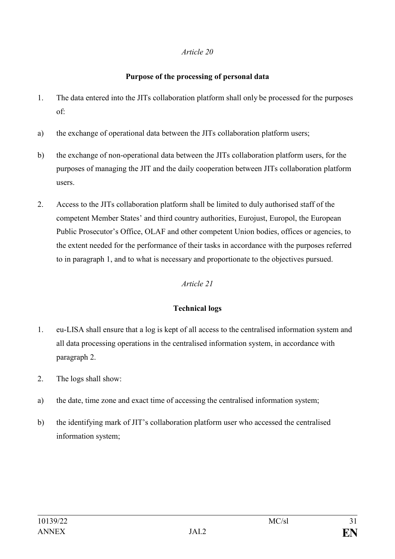### **Purpose of the processing of personal data**

- 1. The data entered into the JITs collaboration platform shall only be processed for the purposes of:
- a) the exchange of operational data between the JITs collaboration platform users;
- b) the exchange of non-operational data between the JITs collaboration platform users, for the purposes of managing the JIT and the daily cooperation between JITs collaboration platform users.
- 2. Access to the JITs collaboration platform shall be limited to duly authorised staff of the competent Member States' and third country authorities, Eurojust, Europol, the European Public Prosecutor's Office, OLAF and other competent Union bodies, offices or agencies, to the extent needed for the performance of their tasks in accordance with the purposes referred to in paragraph 1, and to what is necessary and proportionate to the objectives pursued.

### *Article 21*

### **Technical logs**

- 1. eu-LISA shall ensure that a log is kept of all access to the centralised information system and all data processing operations in the centralised information system, in accordance with paragraph 2.
- 2. The logs shall show:
- a) the date, time zone and exact time of accessing the centralised information system;
- b) the identifying mark of JIT's collaboration platform user who accessed the centralised information system;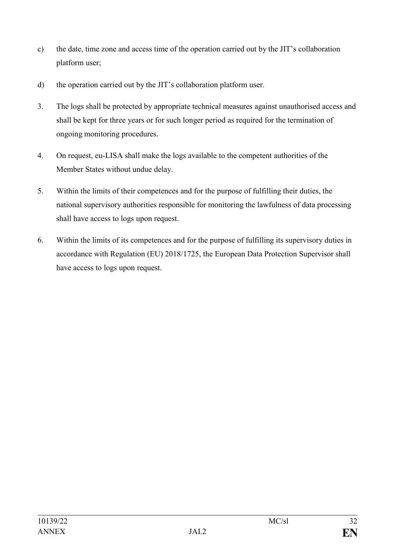- c) the date, time zone and access time of the operation carried out by the JIT's collaboration platform user;
- d) the operation carried out by the JIT's collaboration platform user.
- 3. The logs shall be protected by appropriate technical measures against unauthorised access and shall be kept for three years or for such longer period as required for the termination of ongoing monitoring procedures.
- 4. On request, eu-LISA shall make the logs available to the competent authorities of the Member States without undue delay.
- 5. Within the limits of their competences and for the purpose of fulfilling their duties, the national supervisory authorities responsible for monitoring the lawfulness of data processing shall have access to logs upon request.
- 6. Within the limits of its competences and for the purpose of fulfilling its supervisory duties in accordance with Regulation (EU) 2018/1725, the European Data Protection Supervisor shall have access to logs upon request.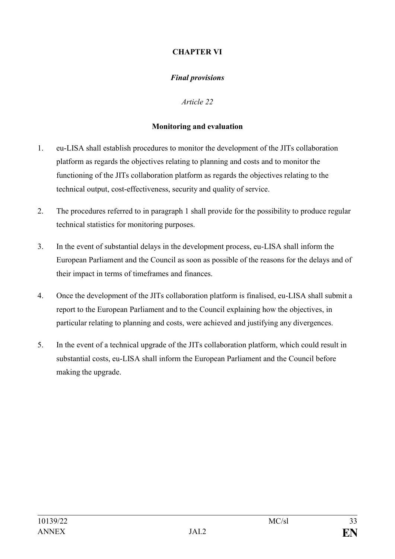### **CHAPTER VI**

### *Final provisions*

*Article 22*

#### **Monitoring and evaluation**

- 1. eu-LISA shall establish procedures to monitor the development of the JITs collaboration platform as regards the objectives relating to planning and costs and to monitor the functioning of the JITs collaboration platform as regards the objectives relating to the technical output, cost-effectiveness, security and quality of service.
- 2. The procedures referred to in paragraph 1 shall provide for the possibility to produce regular technical statistics for monitoring purposes.
- 3. In the event of substantial delays in the development process, eu-LISA shall inform the European Parliament and the Council as soon as possible of the reasons for the delays and of their impact in terms of timeframes and finances.
- 4. Once the development of the JITs collaboration platform is finalised, eu-LISA shall submit a report to the European Parliament and to the Council explaining how the objectives, in particular relating to planning and costs, were achieved and justifying any divergences.
- 5. In the event of a technical upgrade of the JITs collaboration platform, which could result in substantial costs, eu-LISA shall inform the European Parliament and the Council before making the upgrade.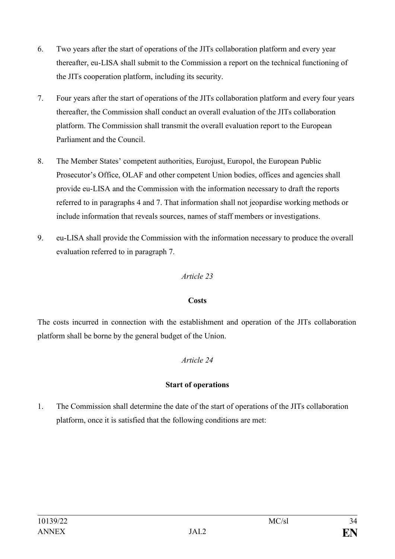- 6. Two years after the start of operations of the JITs collaboration platform and every year thereafter, eu-LISA shall submit to the Commission a report on the technical functioning of the JITs cooperation platform, including its security.
- 7. Four years after the start of operations of the JITs collaboration platform and every four years thereafter, the Commission shall conduct an overall evaluation of the JITs collaboration platform. The Commission shall transmit the overall evaluation report to the European Parliament and the Council.
- 8. The Member States' competent authorities, Eurojust, Europol, the European Public Prosecutor's Office, OLAF and other competent Union bodies, offices and agencies shall provide eu-LISA and the Commission with the information necessary to draft the reports referred to in paragraphs 4 and 7. That information shall not jeopardise working methods or include information that reveals sources, names of staff members or investigations.
- 9. eu-LISA shall provide the Commission with the information necessary to produce the overall evaluation referred to in paragraph 7.

### **Costs**

The costs incurred in connection with the establishment and operation of the JITs collaboration platform shall be borne by the general budget of the Union.

# *Article 24*

# **Start of operations**

1. The Commission shall determine the date of the start of operations of the JITs collaboration platform, once it is satisfied that the following conditions are met: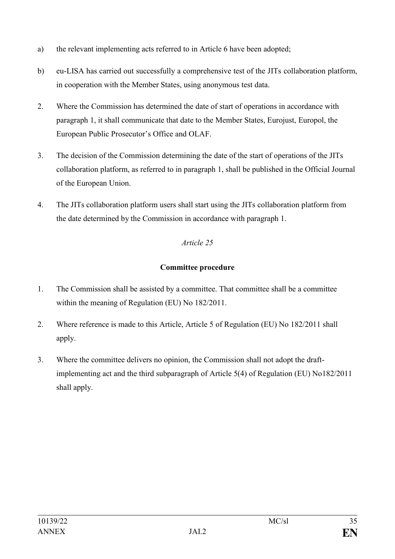- a) the relevant implementing acts referred to in Article 6 have been adopted;
- b) eu-LISA has carried out successfully a comprehensive test of the JITs collaboration platform, in cooperation with the Member States, using anonymous test data.
- 2. Where the Commission has determined the date of start of operations in accordance with paragraph 1, it shall communicate that date to the Member States, Eurojust, Europol, the European Public Prosecutor's Office and OLAF.
- 3. The decision of the Commission determining the date of the start of operations of the JITs collaboration platform, as referred to in paragraph 1, shall be published in the Official Journal of the European Union.
- 4. The JITs collaboration platform users shall start using the JITs collaboration platform from the date determined by the Commission in accordance with paragraph 1.

# **Committee procedure**

- 1. The Commission shall be assisted by a committee. That committee shall be a committee within the meaning of Regulation (EU) No 182/2011.
- 2. Where reference is made to this Article, Article 5 of Regulation (EU) No 182/2011 shall apply.
- 3. Where the committee delivers no opinion, the Commission shall not adopt the draftimplementing act and the third subparagraph of Article 5(4) of Regulation (EU) No182/2011 shall apply.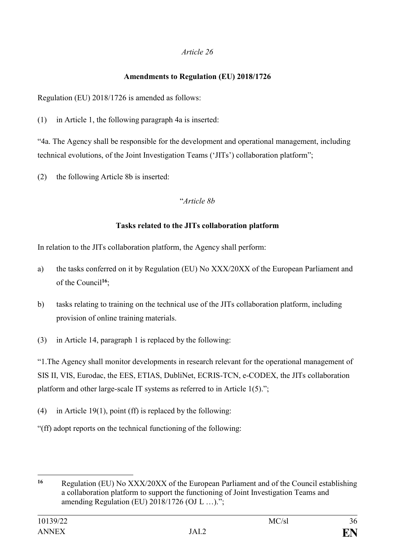# **Amendments to Regulation (EU) 2018/1726**

Regulation (EU) 2018/1726 is amended as follows:

(1) in Article 1, the following paragraph 4a is inserted:

"4a. The Agency shall be responsible for the development and operational management, including technical evolutions, of the Joint Investigation Teams ('JITs') collaboration platform";

(2) the following Article 8b is inserted:

### "*Article 8b*

### **Tasks related to the JITs collaboration platform**

In relation to the JITs collaboration platform, the Agency shall perform:

- a) the tasks conferred on it by Regulation (EU) No XXX/20XX of the European Parliament and of the Council**<sup>16</sup>**;
- b) tasks relating to training on the technical use of the JITs collaboration platform, including provision of online training materials.
- (3) in Article 14, paragraph 1 is replaced by the following:

"1.The Agency shall monitor developments in research relevant for the operational management of SIS II, VIS, Eurodac, the EES, ETIAS, DubliNet, ECRIS-TCN, e-CODEX, the JITs collaboration platform and other large-scale IT systems as referred to in Article 1(5).";

- (4) in Article 19(1), point (ff) is replaced by the following:
- "(ff) adopt reports on the technical functioning of the following:

<sup>1</sup> **<sup>16</sup>** Regulation (EU) No XXX/20XX of the European Parliament and of the Council establishing a collaboration platform to support the functioning of Joint Investigation Teams and amending Regulation (EU) 2018/1726 (OJ L …).";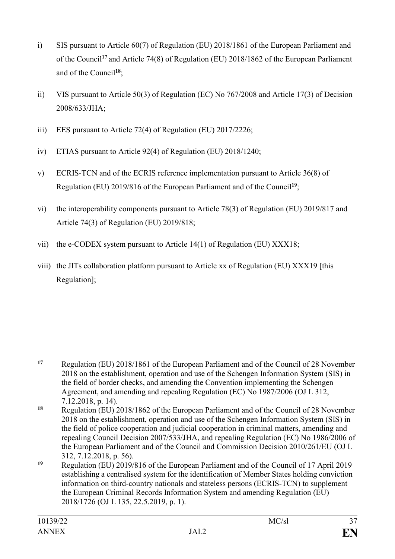- i) SIS pursuant to Article 60(7) of Regulation (EU) 2018/1861 of the European Parliament and of the Council**<sup>17</sup>** and Article 74(8) of Regulation (EU) 2018/1862 of the European Parliament and of the Council**<sup>18</sup>**;
- ii) VIS pursuant to Article 50(3) of Regulation (EC) No 767/2008 and Article 17(3) of Decision 2008/633/JHA;
- iii) EES pursuant to Article 72(4) of Regulation (EU) 2017/2226;
- iv) ETIAS pursuant to Article 92(4) of Regulation (EU) 2018/1240;
- v) ECRIS-TCN and of the ECRIS reference implementation pursuant to Article 36(8) of Regulation (EU) 2019/816 of the European Parliament and of the Council **19**;
- vi) the interoperability components pursuant to Article 78(3) of Regulation (EU) 2019/817 and Article 74(3) of Regulation (EU) 2019/818;
- vii) the e-CODEX system pursuant to Article 14(1) of Regulation (EU) XXX18;
- viii) the JITs collaboration platform pursuant to Article xx of Regulation (EU) XXX19 [this Regulation];

<sup>1</sup> **<sup>17</sup>** Regulation (EU) 2018/1861 of the European Parliament and of the Council of 28 November 2018 on the establishment, operation and use of the Schengen Information System (SIS) in the field of border checks, and amending the Convention implementing the Schengen Agreement, and amending and repealing Regulation (EC) No 1987/2006 (OJ L 312, 7.12.2018, p. 14).

**<sup>18</sup>** Regulation (EU) 2018/1862 of the European Parliament and of the Council of 28 November 2018 on the establishment, operation and use of the Schengen Information System (SIS) in the field of police cooperation and judicial cooperation in criminal matters, amending and repealing Council Decision 2007/533/JHA, and repealing Regulation (EC) No 1986/2006 of the European Parliament and of the Council and Commission Decision 2010/261/EU (OJ L 312, 7.12.2018, p. 56).

**<sup>19</sup>** Regulation (EU) 2019/816 of the European Parliament and of the Council of 17 April 2019 establishing a centralised system for the identification of Member States holding conviction information on third-country nationals and stateless persons (ECRIS-TCN) to supplement the European Criminal Records Information System and amending Regulation (EU) 2018/1726 (OJ L 135, 22.5.2019, p. 1).